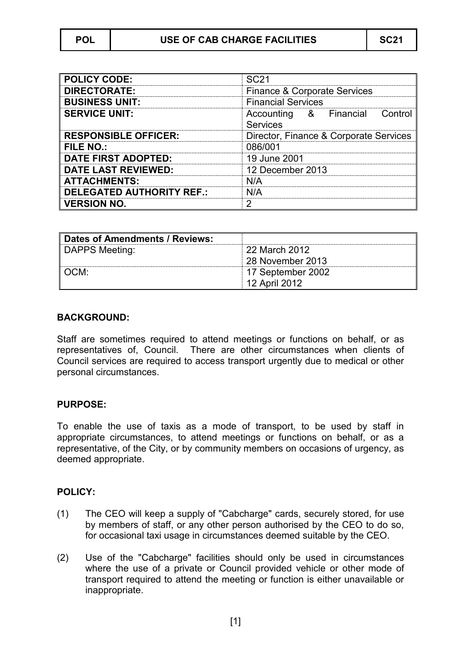| <b>POLICY CODE:</b>              | <b>SC21</b>                                          |
|----------------------------------|------------------------------------------------------|
| <b>DIRECTORATE:</b>              | <b>Finance &amp; Corporate Services</b>              |
| <b>BUSINESS UNIT:</b>            | <b>Financial Services</b>                            |
| <b>SERVICE UNIT:</b>             | Accounting<br>& Financial Control<br><b>Services</b> |
| <b>RESPONSIBLE OFFICER:</b>      | Director, Finance & Corporate Services               |
| <b>FILE NO.:</b>                 | 086/001                                              |
| <b>DATE FIRST ADOPTED:</b>       | 19 June 2001                                         |
| <b>DATE LAST REVIEWED:</b>       | 12 December 2013                                     |
| <b>ATTACHMENTS:</b>              | N/A                                                  |
| <b>DELEGATED AUTHORITY REF.:</b> | N/A                                                  |
| <b>VERSION NO.</b>               | 2                                                    |

| Dates of Amendments / Reviews: |                   |
|--------------------------------|-------------------|
| DAPPS Meeting:                 | 22 March 2012     |
|                                | 28 November 2013  |
| OCM:                           | 17 September 2002 |
|                                | 12 April 2012     |

## **BACKGROUND:**

Staff are sometimes required to attend meetings or functions on behalf, or as representatives of, Council. There are other circumstances when clients of Council services are required to access transport urgently due to medical or other personal circumstances.

## **PURPOSE:**

To enable the use of taxis as a mode of transport, to be used by staff in appropriate circumstances, to attend meetings or functions on behalf, or as a representative, of the City, or by community members on occasions of urgency, as deemed appropriate.

## **POLICY:**

- (1) The CEO will keep a supply of "Cabcharge" cards, securely stored, for use by members of staff, or any other person authorised by the CEO to do so, for occasional taxi usage in circumstances deemed suitable by the CEO.
- (2) Use of the "Cabcharge" facilities should only be used in circumstances where the use of a private or Council provided vehicle or other mode of transport required to attend the meeting or function is either unavailable or inappropriate.